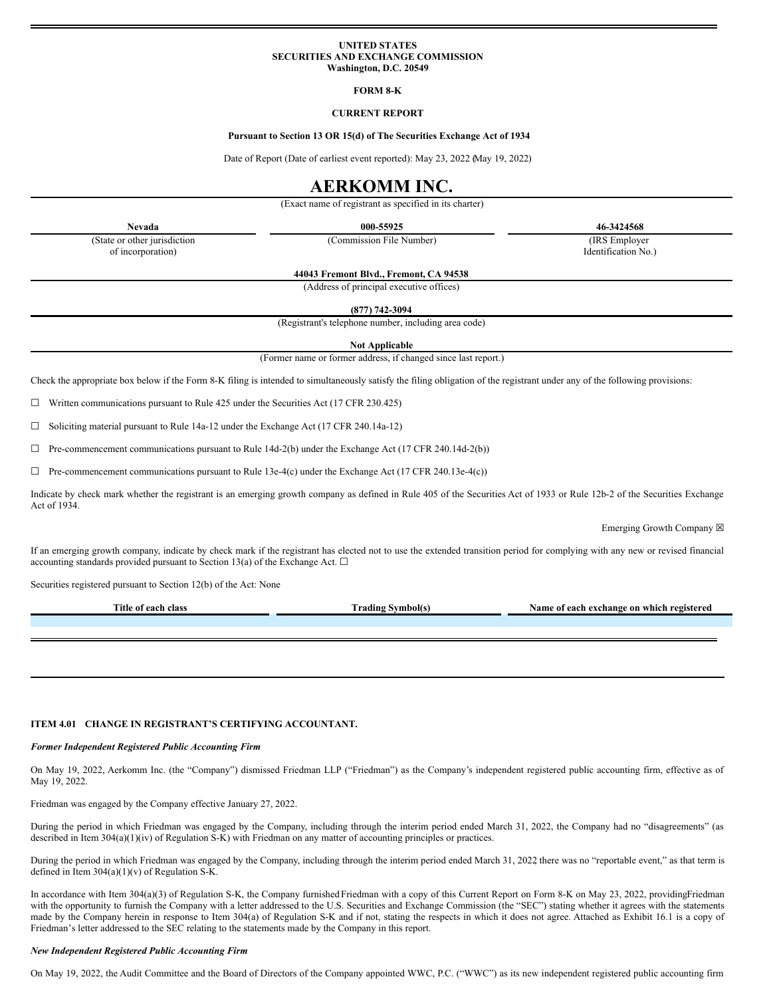#### **UNITED STATES SECURITIES AND EXCHANGE COMMISSION Washington, D.C. 20549**

#### **FORM 8-K**

#### **CURRENT REPORT**

#### **Pursuant to Section 13 OR 15(d) of The Securities Exchange Act of 1934**

Date of Report (Date of earliest event reported): May 23, 2022 (May 19, 2022)

### **AERKOMM INC.**

(Exact name of registrant as specified in its charter)

**Nevada 000-55925 46-3424568**

(State or other jurisdiction of incorporation)

**44043 Fremont Blvd., Fremont, CA 94538**

(Commission File Number) (IRS Employer

Identification No.)

(Address of principal executive offices) **(877) 742-3094**

(Registrant's telephone number, including area code)

**Not Applicable**

(Former name or former address, if changed since last report.)

Check the appropriate box below if the Form 8-K filing is intended to simultaneously satisfy the filing obligation of the registrant under any of the following provisions:

 $\Box$  Written communications pursuant to Rule 425 under the Securities Act (17 CFR 230.425)

☐ Soliciting material pursuant to Rule 14a-12 under the Exchange Act (17 CFR 240.14a-12)

 $\Box$  Pre-commencement communications pursuant to Rule 14d-2(b) under the Exchange Act (17 CFR 240.14d-2(b))

 $\Box$  Pre-commencement communications pursuant to Rule 13e-4(c) under the Exchange Act (17 CFR 240.13e-4(c))

Indicate by check mark whether the registrant is an emerging growth company as defined in Rule 405 of the Securities Act of 1933 or Rule 12b-2 of the Securities Exchange Act of 1934.

Emerging Growth Company  $\boxtimes$ 

If an emerging growth company, indicate by check mark if the registrant has elected not to use the extended transition period for complying with any new or revised financial accounting standards provided pursuant to Section 13(a) of the Exchange Act.  $\square$ 

Securities registered pursuant to Section 12(b) of the Act: None

| <b>Titl</b><br>$\sim$ $\sim$<br>0.00<br>стал | --<br>- - <b>au</b> mr | n which registered .<br>vame<br>on |
|----------------------------------------------|------------------------|------------------------------------|
|                                              |                        |                                    |
|                                              |                        |                                    |

#### **ITEM 4.01 CHANGE IN REGISTRANT'S CERTIFYING ACCOUNTANT.**

#### *Former Independent Registered Public Accounting Firm*

On May 19, 2022, Aerkomm Inc. (the "Company") dismissed Friedman LLP ("Friedman") as the Company's independent registered public accounting firm, effective as of May 19, 2022.

Friedman was engaged by the Company effective January 27, 2022.

During the period in which Friedman was engaged by the Company, including through the interim period ended March 31, 2022, the Company had no "disagreements" (as described in Item 304(a)(1)(iv) of Regulation S-K) with Friedman on any matter of accounting principles or practices.

During the period in which Friedman was engaged by the Company, including through the interim period ended March 31, 2022, there was no "reportable event," as that term is defined in Item 304(a)(1)(v) of Regulation S-K.

In accordance with Item 304(a)(3) of Regulation S-K, the Company furnished Friedman with a copy of this Current Report on Form 8-K on May 23, 2022, providingFriedman with the opportunity to furnish the Company with a letter addressed to the U.S. Securities and Exchange Commission (the "SEC") stating whether it agrees with the statements made by the Company herein in response to Item 304(a) of Regulation S-K and if not, stating the respects in which it does not agree. Attached as Exhibit 16.1 is a copy of Friedman's letter addressed to the SEC relating to the statements made by the Company in this report.

#### *New Independent Registered Public Accounting Firm*

On May 19, 2022, the Audit Committee and the Board of Directors of the Company appointed WWC, P.C. ("WWC") as its new independent registered public accounting firm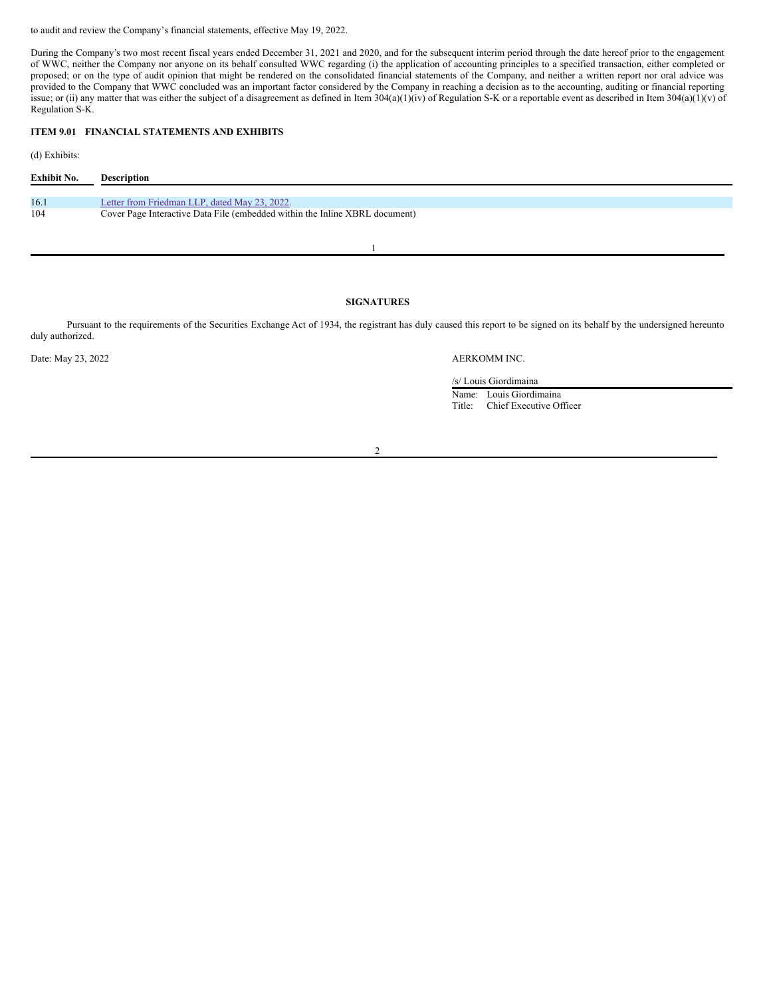to audit and review the Company's financial statements, effective May 19, 2022.

During the Company's two most recent fiscal years ended December 31, 2021 and 2020, and for the subsequent interim period through the date hereof prior to the engagement of WWC, neither the Company nor anyone on its behalf consulted WWC regarding (i) the application of accounting principles to a specified transaction, either completed or proposed; or on the type of audit opinion that might be rendered on the consolidated financial statements of the Company, and neither a written report nor oral advice was provided to the Company that WWC concluded was an important factor considered by the Company in reaching a decision as to the accounting, auditing or financial reporting issue; or (ii) any matter that was either the subject of a disagreement as defined in Item 304(a)(1)(iv) of Regulation S-K or a reportable event as described in Item 304(a)(1)(v) of Regulation S-K.

#### **ITEM 9.01 FINANCIAL STATEMENTS AND EXHIBITS**

(d) Exhibits:

| Exhibit No. | <b>Description</b>                                                          |
|-------------|-----------------------------------------------------------------------------|
|             |                                                                             |
| 16.1        | Letter from Friedman LLP, dated May 23, 2022.                               |
| 104         | Cover Page Interactive Data File (embedded within the Inline XBRL document) |

## 1

#### **SIGNATURES**

Pursuant to the requirements of the Securities Exchange Act of 1934, the registrant has duly caused this report to be signed on its behalf by the undersigned hereunto duly authorized.

Date: May 23, 2022 **AERKOMM INC.** 

/s/ Louis Giordimaina

Name: Louis Giordimaina Title: Chief Executive Officer

 $\overline{2}$